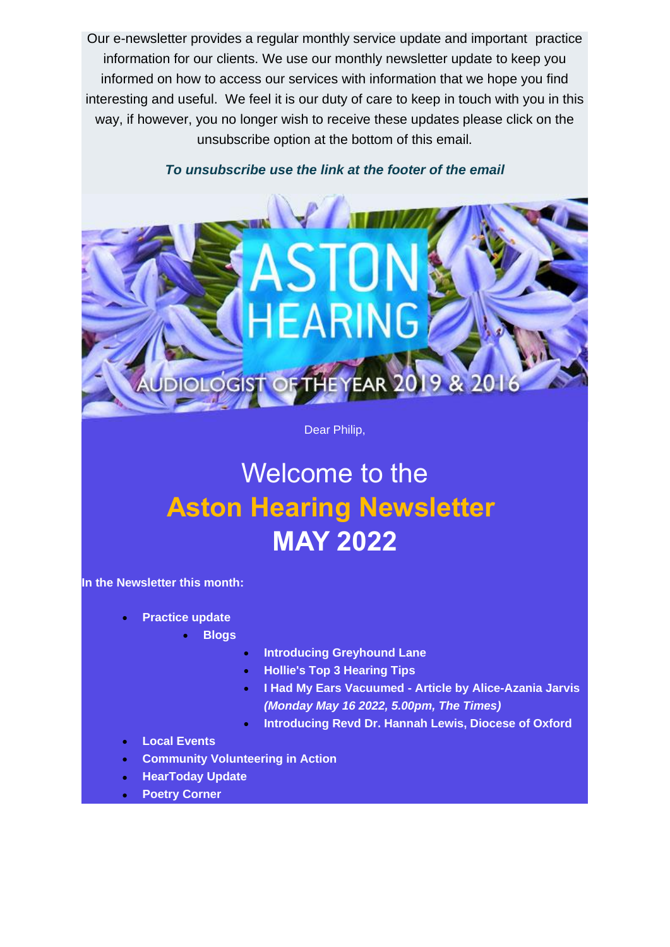Our e-newsletter provides a regular monthly service update and important practice information for our clients. We use our monthly newsletter update to keep you informed on how to access our services with information that we hope you find interesting and useful. We feel it is our duty of care to keep in touch with you in this way, if however, you no longer wish to receive these updates please click on the unsubscribe option at the bottom of this email.

*To unsubscribe use the link at the footer of the email*



Dear Philip,

# Welcome to the **Aston Hearing Newsletter MAY 2022**

**In the Newsletter this month:**

- **Practice update**
	- **Blogs**
- **Introducing Greyhound Lane**
- **Hollie's Top 3 Hearing Tips**
- **I Had My Ears Vacuumed - Article by Alice-Azania Jarvis** *(Monday May 16 2022, 5.00pm, The Times)*
- **Introducing Revd Dr. Hannah Lewis, Diocese of Oxford**
- **Local Events**
- **Community Volunteering in Action**
- **HearToday Update**
- **Poetry Corner**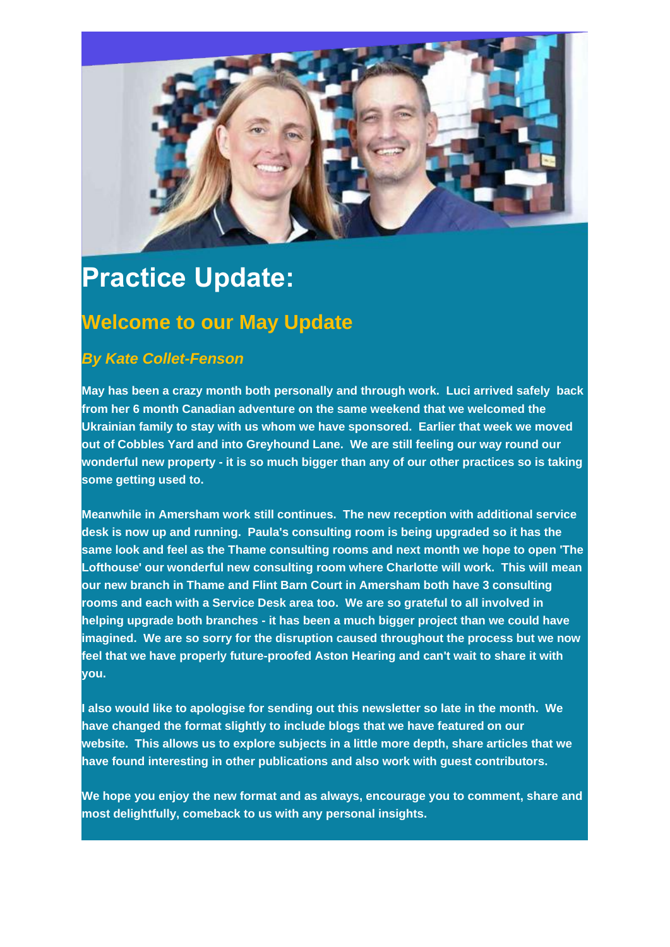

## **Practice Update:**

## **Welcome to our May Update**

### *By Kate Collet-Fenson*

**May has been a crazy month both personally and through work. Luci arrived safely back from her 6 month Canadian adventure on the same weekend that we welcomed the Ukrainian family to stay with us whom we have sponsored. Earlier that week we moved out of Cobbles Yard and into Greyhound Lane. We are still feeling our way round our wonderful new property - it is so much bigger than any of our other practices so is taking some getting used to.**

**Meanwhile in Amersham work still continues. The new reception with additional service desk is now up and running. Paula's consulting room is being upgraded so it has the same look and feel as the Thame consulting rooms and next month we hope to open 'The Lofthouse' our wonderful new consulting room where Charlotte will work. This will mean our new branch in Thame and Flint Barn Court in Amersham both have 3 consulting rooms and each with a Service Desk area too. We are so grateful to all involved in helping upgrade both branches - it has been a much bigger project than we could have imagined. We are so sorry for the disruption caused throughout the process but we now feel that we have properly future-proofed Aston Hearing and can't wait to share it with you.**

**I also would like to apologise for sending out this newsletter so late in the month. We have changed the format slightly to include blogs that we have featured on our website. This allows us to explore subjects in a little more depth, share articles that we have found interesting in other publications and also work with guest contributors.**

**We hope you enjoy the new format and as always, encourage you to comment, share and most delightfully, comeback to us with any personal insights.**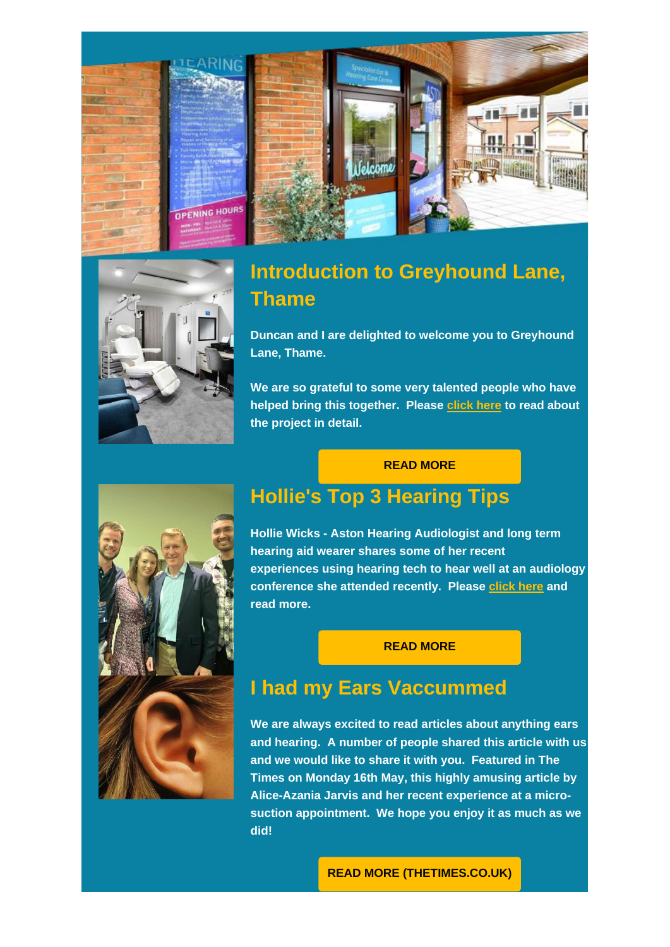



## **[Introduction to Greyhound Lane,](https://email.binarylab.co.uk/t/r-l-tytijrkk-btujykuzj-y/)  [Thame](https://email.binarylab.co.uk/t/r-l-tytijrkk-btujykuzj-y/)**

**Duncan and I are delighted to welcome you to Greyhound Lane, Thame.**

**We are so grateful to some very talented people who have helped bring this together. Please [click here](https://email.binarylab.co.uk/t/r-l-tytijrkk-btujykuzj-j/) to read about the project in detail.**

#### **[READ MORE](https://email.binarylab.co.uk/t/r-l-tytijrkk-btujykuzj-t/)**



## **[Hollie's Top 3 Hearing Tips](https://email.binarylab.co.uk/t/r-l-tytijrkk-btujykuzj-i/)**

**Hollie Wicks - Aston Hearing Audiologist and long term hearing aid wearer shares some of her recent experiences using hearing tech to hear well at an audiology conference she attended recently. Please [click here](https://email.binarylab.co.uk/t/r-l-tytijrkk-btujykuzj-d/) and read more.**

#### **[READ MORE](https://email.binarylab.co.uk/t/r-l-tytijrkk-btujykuzj-h/)**

## **[I had my Ears Vaccummed](https://email.binarylab.co.uk/t/r-l-tytijrkk-btujykuzj-p/)**

**We are always excited to read articles about anything ears and hearing. A number of people shared this article with us and we would like to share it with you. Featured in The Times on Monday 16th May, this highly amusing article by Alice-Azania Jarvis and her recent experience at a microsuction appointment. We hope you enjoy it as much as we did!**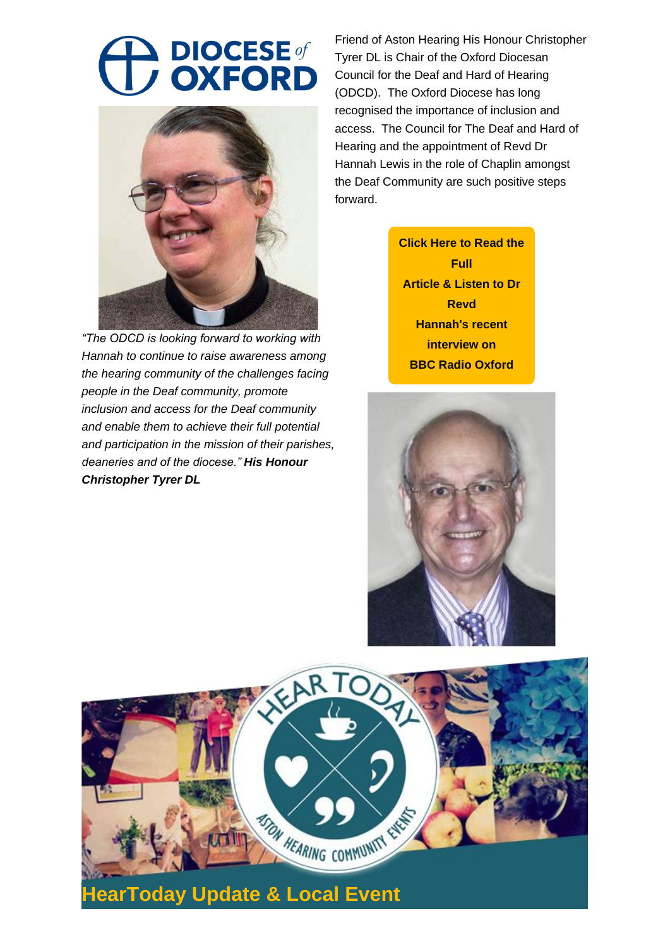# **A DIOCESE**



*"The ODCD is looking forward to working with Hannah to continue to raise awareness among the hearing community of the challenges facing people in the Deaf community, promote inclusion and access for the Deaf community and enable them to achieve their full potential and participation in the mission of their parishes, deaneries and of the diocese." His Honour Christopher Tyrer DL*

Friend of Aston Hearing His Honour Christopher Tyrer DL is Chair of the Oxford Diocesan Council for the Deaf and Hard of Hearing (ODCD). The Oxford Diocese has long recognised the importance of inclusion and access. The Council for The Deaf and Hard of Hearing and the appointment of Revd Dr Hannah Lewis in the role of Chaplin amongst the Deaf Community are such positive steps forward.

> **[Click Here to Read the](https://email.binarylab.co.uk/t/r-l-tytijrkk-btujykuzj-c/)  Full Article & Listen to Dr Revd Hannah's recent interview on BBC Radio Oxford**



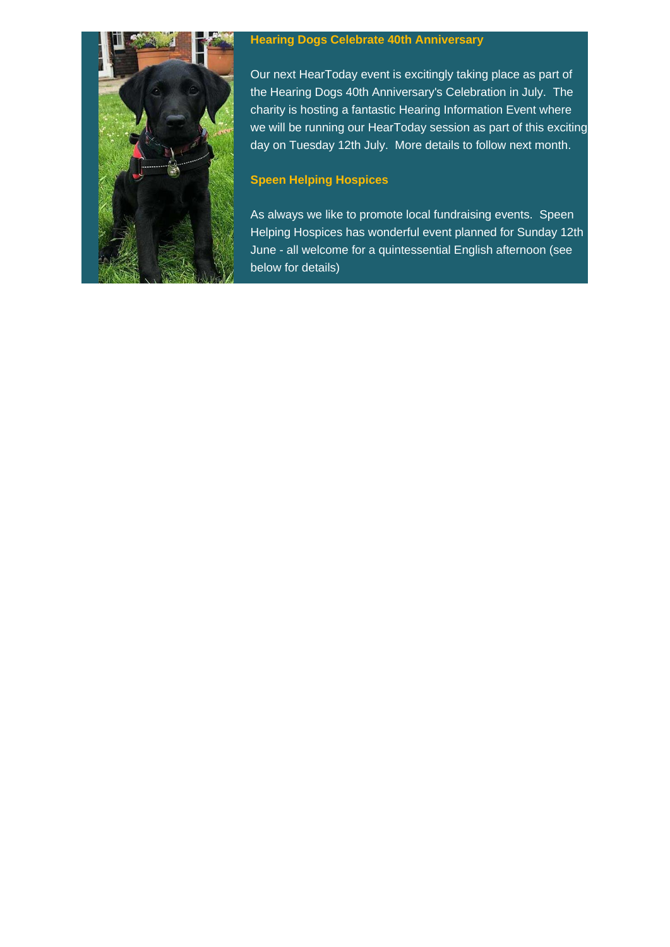

#### **Hearing Dogs Celebrate 40th Anniversary**

Our next HearToday event is excitingly taking place as part of the Hearing Dogs 40th Anniversary's Celebration in July. The charity is hosting a fantastic Hearing Information Event where we will be running our HearToday session as part of this exciting day on Tuesday 12th July. More details to follow next month.

#### **Speen Helping Hospices**

As always we like to promote local fundraising events. Speen Helping Hospices has wonderful event planned for Sunday 12th June - all welcome for a quintessential English afternoon (see below for details)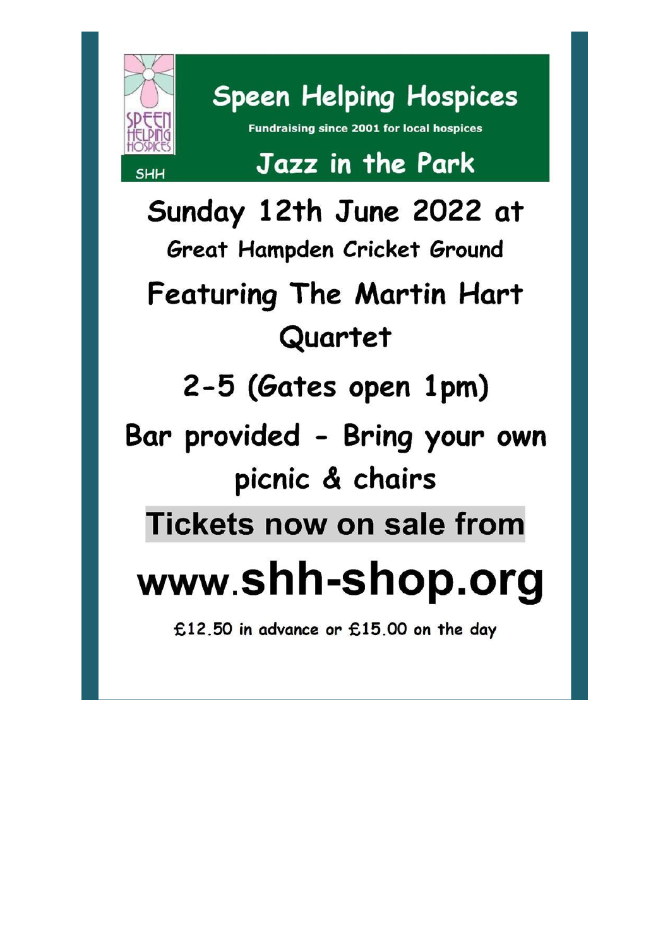

**Speen Helping Hospices** 

**Fundraising since 2001 for local hospices** 

# Jazz in the Park

Sunday 12th June 2022 at Great Hampden Cricket Ground Featuring The Martin Hart Quartet 2-5 (Gates open 1pm) Bar provided - Bring your own picnic & chairs **Tickets now on sale from** www.shh-shop.org £12.50 in advance or £15.00 on the day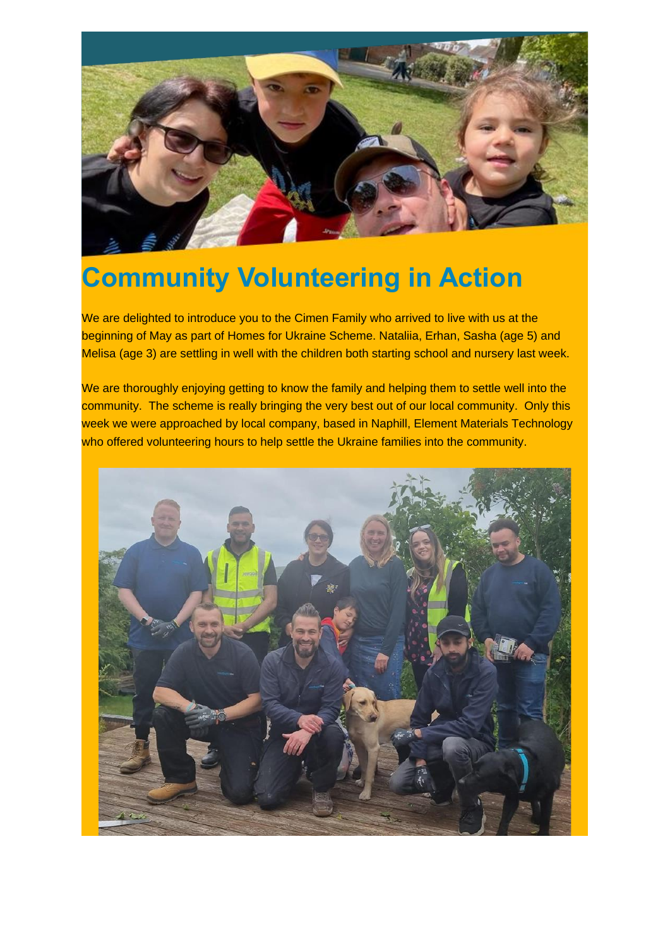

# **Community Volunteering in Action**

We are delighted to introduce you to the Cimen Family who arrived to live with us at the beginning of May as part of Homes for Ukraine Scheme. Nataliia, Erhan, Sasha (age 5) and Melisa (age 3) are settling in well with the children both starting school and nursery last week.

We are thoroughly enjoying getting to know the family and helping them to settle well into the community. The scheme is really bringing the very best out of our local community. Only this week we were approached by local company, based in Naphill, Element Materials Technology who offered volunteering hours to help settle the Ukraine families into the community.

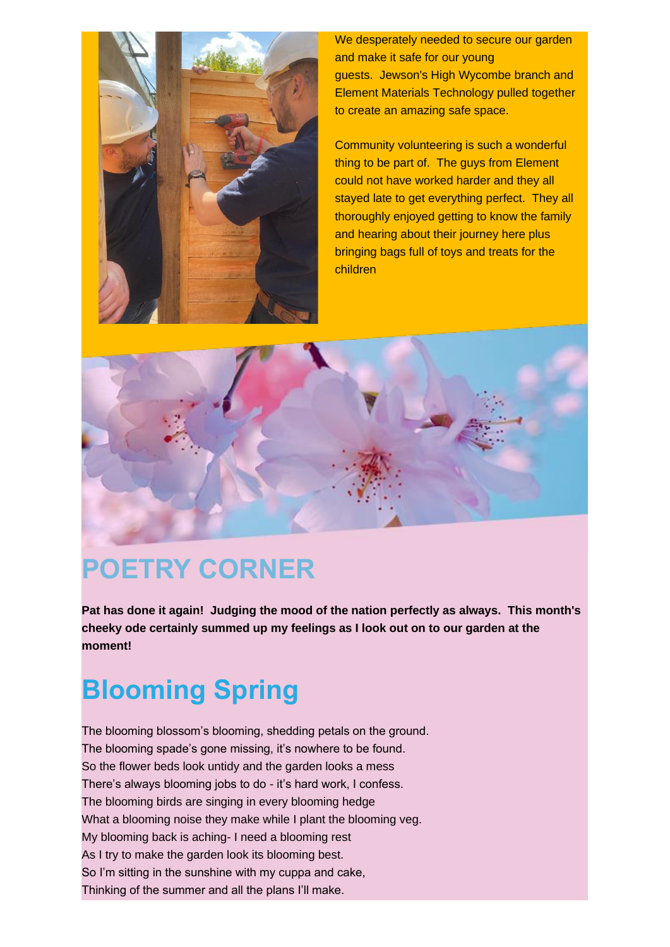

We desperately needed to secure our garden and make it safe for our young guests. Jewson's High Wycombe branch and Element Materials Technology pulled together to create an amazing safe space.

Community volunteering is such a wonderful thing to be part of. The guys from Element could not have worked harder and they all stayed late to get everything perfect. They all thoroughly enjoyed getting to know the family and hearing about their journey here plus bringing bags full of toys and treats for the children



## **POETRY CORNER**

**Pat has done it again! Judging the mood of the nation perfectly as always. This month's cheeky ode certainly summed up my feelings as I look out on to our garden at the moment!**

# **Blooming Spring**

The blooming blossom's blooming, shedding petals on the ground. The blooming spade's gone missing, it's nowhere to be found. So the flower beds look untidy and the garden looks a mess There's always blooming jobs to do - it's hard work, I confess. The blooming birds are singing in every blooming hedge What a blooming noise they make while I plant the blooming veg. My blooming back is aching- I need a blooming rest As I try to make the garden look its blooming best. So I'm sitting in the sunshine with my cuppa and cake, Thinking of the summer and all the plans I'll make.